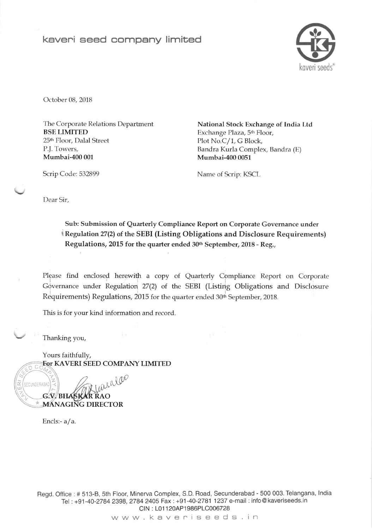## keveni seed company limited



October 08, 2018

Scrip Code: 532899

The Corporate Relations Department BSE LIMITED 25<sup>th</sup> Floor, Dalal Street P.J. Towers, Mumbai-400 001

National Stock Exchange of India Ltd Exchange Plaza, 5<sup>th</sup> Floor, Plot No.C/1, G Block, Bandra Kurla Complex, Bandra (E) Mumbai-400 0051

Name of Scrip: KSCI-

Dear Sir,

Sub: Submission of Quarterly Compliance Report on Corporate Govemance under Regulation 27(2) of the SEBI (Listing Obligations and Disclosure Requirements) Regulations, 2015 for the quarter ended 30th September, 2018 - Reg.,

Please find enclosed herewith a copy of Quarterly Compliance Report on Corporate Governance under Regulation 27(2) of the SEBI (Listing Obligations and Disclosure Requirements) Regulations, 2015 for the quarter ended 30<sup>th</sup> September, 2018.

This is for your kind information and record.

Thanking you,

Yours faithfully, For KAVERI SEED COMPANY LIMITED

asulao G.V. BHASKAR RAO **MANAGING DIRECTOR** 

Encls:- a/a.

t

o C

SECUNOERABAO

 $\alpha$ ul

> Regd. Office :# 513-8, 5th Floor, Minerva Complex, S.D. Road, Secunderabad - 500 003. Telangana, lndia Tel: +91-40-2784 2398, 2784 2405 Fax: +91-40-2781 1237 e-mail: info@kaveriseeds.in CIN : L01 120AP 1986PLC006728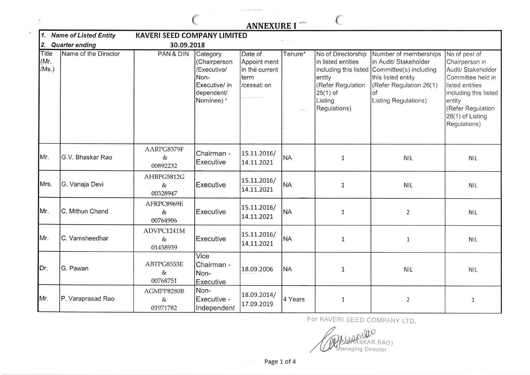| <b>ANNEXURE I</b> |  |
|-------------------|--|
|-------------------|--|

(

 $\epsilon$ 

| 1.                                        | <b>Name of Listed Entity</b><br><b>KAVERI SEED COMPANY LIMITED</b> |                                |                                                                                              |                                                                  |                 |                                                                                                                  |                                                                                                                                                                               |                                                                                                                                                                                           |  |
|-------------------------------------------|--------------------------------------------------------------------|--------------------------------|----------------------------------------------------------------------------------------------|------------------------------------------------------------------|-----------------|------------------------------------------------------------------------------------------------------------------|-------------------------------------------------------------------------------------------------------------------------------------------------------------------------------|-------------------------------------------------------------------------------------------------------------------------------------------------------------------------------------------|--|
| <b>Quarter ending</b><br>30.09.2018<br>2. |                                                                    |                                |                                                                                              |                                                                  |                 |                                                                                                                  |                                                                                                                                                                               |                                                                                                                                                                                           |  |
| Title<br>(Mr.<br>/Ms.)                    | Name of the Director                                               | PAN & DIN                      | Category<br>(Chairperson<br>/Executive/<br>Non-<br>Executive/ in<br>dependent/<br>Nominee) & | Date of<br>Appoint ment<br>in the current<br>term<br>/cessati on | Tenure*<br>1852 | No of Directorship<br>in listed entities<br>entity<br>(Refer Regulation<br>$25(1)$ of<br>Listing<br>Regulations) | Number of memberships<br>in Audit/ Stakeholder<br>including this listed Committee(s) including<br>this listed entity<br>(Refer Regulation 26(1)<br>οf<br>Listing Regulations) | No of post of<br>Chairperson in<br>Audit/ Stakeholder<br>Committee held in<br>listed entities<br>including this listed<br>entity<br>(Refer Regulation<br>26(1) of Listing<br>Regulations) |  |
| Mr.                                       | G.V. Bhaskar Rao                                                   | AARPG8379F<br>&<br>00892232    | Chairman -<br>Executive                                                                      | 15.11.2016/<br>14.11.2021                                        | <b>NA</b>       | 1                                                                                                                | <b>NIL</b>                                                                                                                                                                    | <b>NIL</b>                                                                                                                                                                                |  |
| Mrs.                                      | G. Vanaja Devi                                                     | AHBPG5812G<br>$\&$<br>00328947 | Executive                                                                                    | 15.11.2016/<br>14.11.2021                                        | <b>NA</b>       | $\mathbf{1}$                                                                                                     | <b>NIL</b>                                                                                                                                                                    | <b>NIL</b>                                                                                                                                                                                |  |
| Mr.                                       | C. Mithun Chand                                                    | AFRPC8969E<br>&<br>00764906    | Executive                                                                                    | 15.11.2016/<br>14.11.2021                                        | <b>NA</b>       | $\mathbf 1$                                                                                                      | $\overline{2}$                                                                                                                                                                | <b>NIL</b>                                                                                                                                                                                |  |
| Mr.                                       | C. Vamsheedhar                                                     | ADVPC1241M<br>$\&$<br>01458939 | Executive                                                                                    | 15.11.2016/<br>14.11.2021                                        | NA              | $1\,$                                                                                                            | $\mathbf{1}$                                                                                                                                                                  | <b>NIL</b>                                                                                                                                                                                |  |
| Dr.                                       | G. Pawan                                                           | ABTPG8553E<br>&<br>00768751    | Vice<br>Chairman -<br>Non-<br>Executive                                                      | 18.09.2006                                                       | NA              | $\mathbf{1}$                                                                                                     | <b>NIL</b>                                                                                                                                                                    | <b>NIL</b>                                                                                                                                                                                |  |
| Mr.                                       | P. Varaprasad Rao                                                  | AGMPP8280B<br>&<br>01971782    | Non-<br>Executive -<br>Independent                                                           | 18.09.2014/<br>17.09.2019                                        | 4 Years         | $\mathbf{1}$                                                                                                     | $\overline{2}$                                                                                                                                                                | $\mathbf{1}$                                                                                                                                                                              |  |

FOT KAVERI SEED COMPANY LTD

 $\underline{\mathbb{W}}$ SKAR RAO ) anaging Director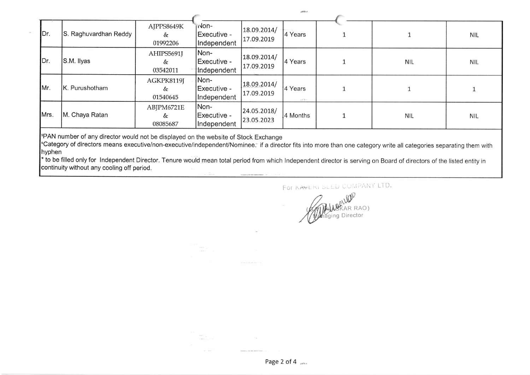| Dr.  | S. Raghuvardhan Reddy | AJPPS8649K<br>&<br>01992206 | -nor <sub>-</sub><br> Executive -<br>Independent | 18.09.2014/<br>17.09.2019 | 4 Years          |            | <b>NIL</b> |
|------|-----------------------|-----------------------------|--------------------------------------------------|---------------------------|------------------|------------|------------|
| Dr.  | S.M. Ilyas            | AHIPS5691J<br>&<br>03542011 | Non-<br>Executive -<br>Independent               | 18.09.2014/<br>17.09.2019 | 4 Years          | <b>NIL</b> | <b>NIL</b> |
| Mr.  | K. Purushotham        | AGKPK8119J<br>&<br>01540645 | Non-<br>Executive -<br>Independent               | 18.09.2014/<br>17.09.2019 | 4 Years<br>182.4 |            |            |
| Mrs. | M. Chaya Ratan        | ABJPM6721E<br>&<br>08085687 | Non-<br>Executive -<br>Independent               | 24.05.2018/<br>23.05.2023 | 4 Months         | <b>NIL</b> | <b>NIL</b> |

 $180\%$ 

**PAN number of any director would not be displayed on the website of Stock Exchange** 

<sup>a</sup>Category of directors means executive/non-executive/independent/Nominee. if a director fits into more than one category write all categories separating them with hyphen

\* to be filled only for Independent Director. Tenure would mean total period from which Independent director is serving on Board of directors of the listed entity in continuity without any cooling off period.

For KAWERI SLED COMPANY LTD.

Lille AR RAO ) Director